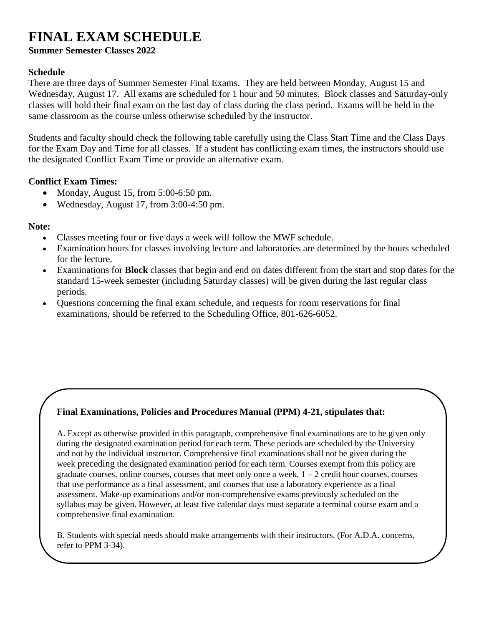# **FINAL EXAM SCHEDULE**

**Summer Semester Classes 2022**

### **Schedule**

There are three days of Summer Semester Final Exams. They are held between Monday, August 15 and Wednesday, August 17. All exams are scheduled for 1 hour and 50 minutes. Block classes and Saturday-only classes will hold their final exam on the last day of class during the class period. Exams will be held in the same classroom as the course unless otherwise scheduled by the instructor.

Students and faculty should check the following table carefully using the Class Start Time and the Class Days for the Exam Day and Time for all classes. If a student has conflicting exam times, the instructors should use the designated Conflict Exam Time or provide an alternative exam.

#### **Conflict Exam Times:**

- Monday, August 15, from 5:00-6:50 pm.
- Wednesday, August 17, from 3:00-4:50 pm.

#### **Note:**

- Classes meeting four or five days a week will follow the MWF schedule.
- Examination hours for classes involving lecture and laboratories are determined by the hours scheduled for the lecture.
- Examinations for **Block** classes that begin and end on dates different from the start and stop dates for the standard 15-week semester (including Saturday classes) will be given during the last regular class periods.
- Questions concerning the final exam schedule, and requests for room reservations for final examinations, should be referred to the Scheduling Office, 801-626-6052.

## **Final Examinations, Policies and Procedures Manual (PPM) 4-21, stipulates that:**

A. Except as otherwise provided in this paragraph, comprehensive final examinations are to be given only during the designated examination period for each term. These periods are scheduled by the University and not by the individual instructor. Comprehensive final examinations shall not be given during the week preceding the designated examination period for each term. Courses exempt from this policy are graduate courses, online courses, courses that meet only once a week,  $1 - 2$  credit hour courses, courses that use performance as a final assessment, and courses that use a laboratory experience as a final assessment. Make-up examinations and/or non-comprehensive exams previously scheduled on the syllabus may be given. However, at least five calendar days must separate a terminal course exam and a comprehensive final examination.

B. Students with special needs should make arrangements with their instructors. (For A.D.A. concerns, refer to PPM 3-34).